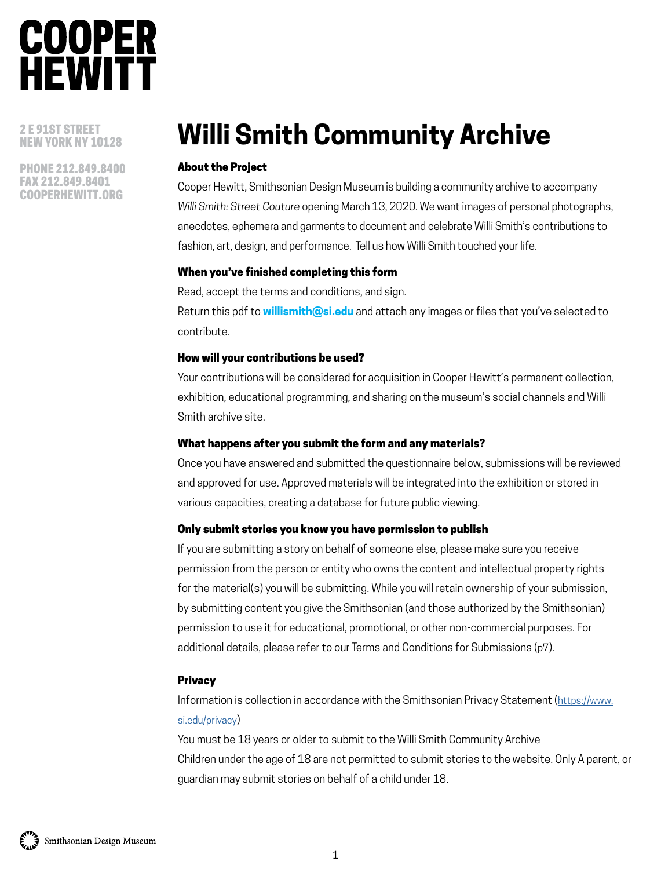2 E 91ST STREET NEW YORK NY 10128

PHONE 212.849.8400 FAX 212.849.8401 COOPERHEWITT.ORG

### **Willi Smith Community Archive**

#### About the Project

Cooper Hewitt, Smithsonian Design Museum is building a community archive to accompany *Willi Smith: Street Couture* opening March 13, 2020. We want images of personal photographs, anecdotes, ephemera and garments to document and celebrate Willi Smith's contributions to fashion, art, design, and performance. Tell us how Willi Smith touched your life.

#### When you've finished completing this form

Read, accept the terms and conditions, and sign.

Return this pdf to **willismith@si.edu** and attach any images or files that you've selected to contribute.

#### How will your contributions be used?

Your contributions will be considered for acquisition in Cooper Hewitt's permanent collection, exhibition, educational programming, and sharing on the museum's social channels and Willi Smith archive site.

#### What happens after you submit the form and any materials?

Once you have answered and submitted the questionnaire below, submissions will be reviewed and approved for use. Approved materials will be integrated into the exhibition or stored in various capacities, creating a database for future public viewing.

#### Only submit stories you know you have permission to publish

If you are submitting a story on behalf of someone else, please make sure you receive permission from the person or entity who owns the content and intellectual property rights for the material(s) you will be submitting. While you will retain ownership of your submission, by submitting content you give the Smithsonian (and those authorized by the Smithsonian) permission to use it for educational, promotional, or other non-commercial purposes. For additional details, please refer to our Terms and Conditions for Submissions (p7).

#### **Privacy**

Information is collection in accordance with the Smithsonian Privacy Statement ([https://www.](https://www.si.edu/privacy) [si.edu/privacy\)](https://www.si.edu/privacy)

You must be 18 years or older to submit to the Willi Smith Community Archive Children under the age of 18 are not permitted to submit stories to the website. Only A parent, or guardian may submit stories on behalf of a child under 18.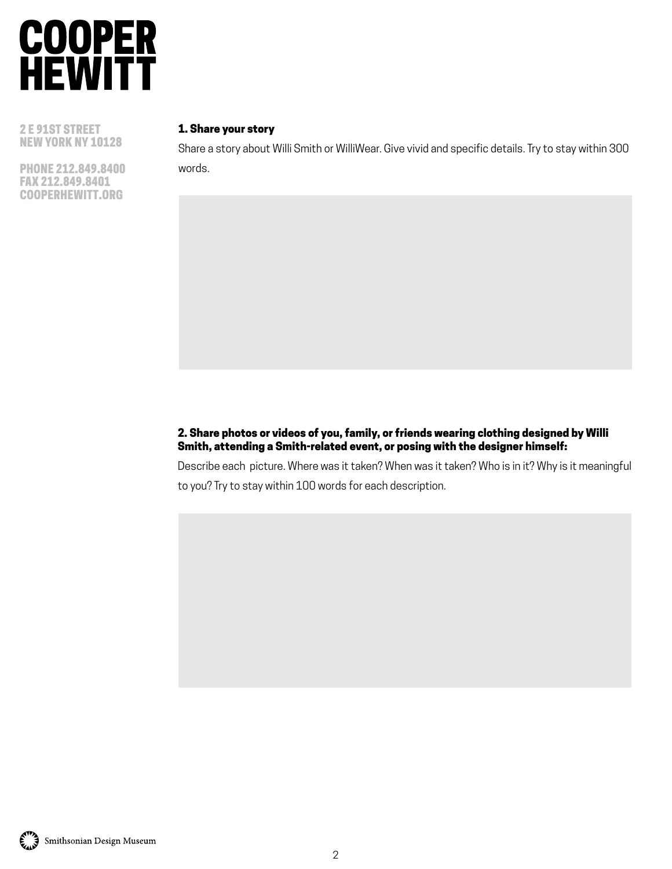

2 E 91ST STREET NEW YORK NY 10128

PHONE 212.849.8400 FAX 212.849.8401 COOPERHEWITT.ORG

#### 1. Share your story

Share a story about Willi Smith or WilliWear. Give vivid and specific details. Try to stay within 300 words.

#### 2. Share photos or videos of you, family, or friends wearing clothing designed by Willi Smith, attending a Smith-related event, or posing with the designer himself:

Describe each picture. Where was it taken? When was it taken? Who is in it? Why is it meaningful to you? Try to stay within 100 words for each description.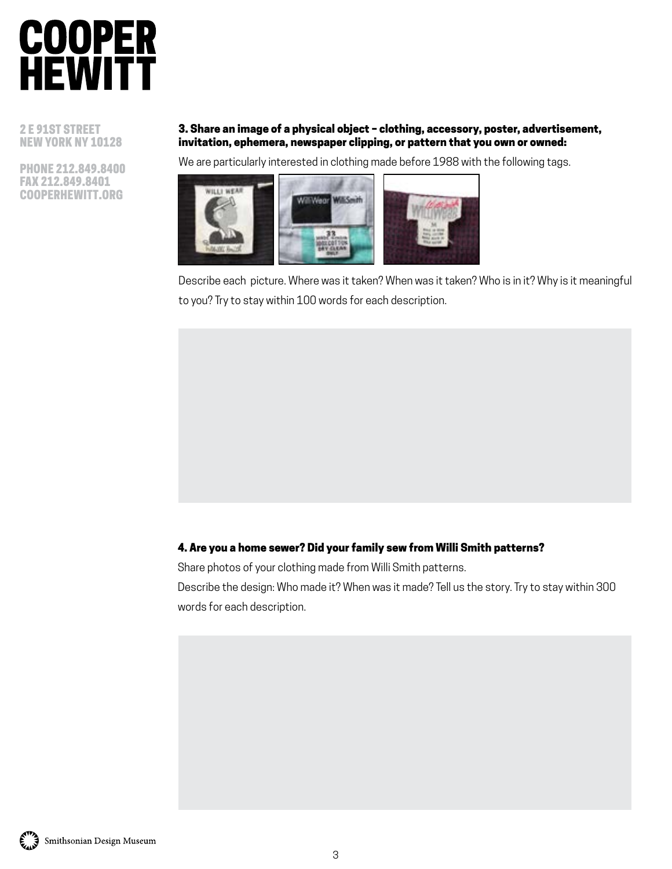2 E 91ST STREET NEW YORK NY 10128

PHONE 212.849.8400 FAX 212.849.8401 COOPERHEWITT.ORG

#### 3. Share an image of a physical object – clothing, accessory, poster, advertisement, invitation, ephemera, newspaper clipping, or pattern that you own or owned:

We are particularly interested in clothing made before 1988 with the following tags.



Describe each picture. Where was it taken? When was it taken? Who is in it? Why is it meaningful to you? Try to stay within 100 words for each description.

#### 4. Are you a home sewer? Did your family sew from Willi Smith patterns?

Share photos of your clothing made from Willi Smith patterns.

Describe the design: Who made it? When was it made? Tell us the story. Try to stay within 300 words for each description.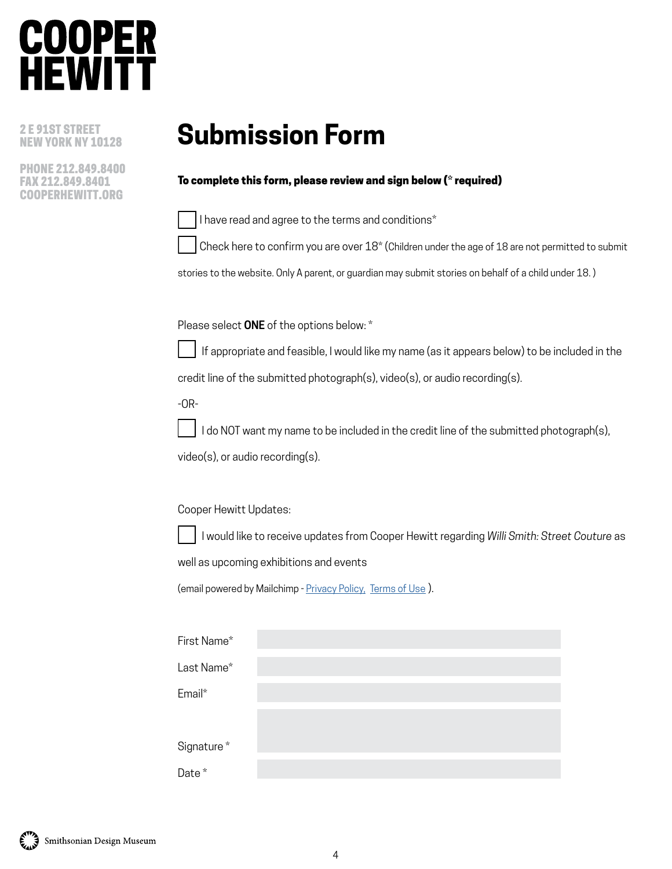### **COOPER HEWIT1**

2 E 91ST STREET NEW YORK NY 10128

PHONE 212.849.8400 FAX 212.849.8401 COOPERHEWITT.ORG

### **Submission Form**

#### To complete this form, please review and sign below (\* required)

I have read and agree to the terms and conditions\*

Check here to confirm you are over 18\* (Children under the age of 18 are not permitted to submit

stories to the website. Only A parent, or guardian may submit stories on behalf of a child under 18. )

Please select **ONE** of the options below: \*



 If appropriate and feasible, I would like my name (as it appears below) to be included in the credit line of the submitted photograph(s), video(s), or audio recording(s).

-OR-

I do NOT want my name to be included in the credit line of the submitted photograph(s),

video(s), or audio recording(s).

Cooper Hewitt Updates:

I would like to receive updates from Cooper Hewitt regarding *Willi Smith: Street Couture* as

well as upcoming exhibitions and events

(email powered by Mailchimp - [Privacy Policy](https://mailchimp.com/legal/privacy/), [Terms of Use](https://mailchimp.com/legal/terms/)).

| First Name* |  |  |
|-------------|--|--|
| Last Name*  |  |  |
| Email*      |  |  |
|             |  |  |
| Signature*  |  |  |
| Date*       |  |  |

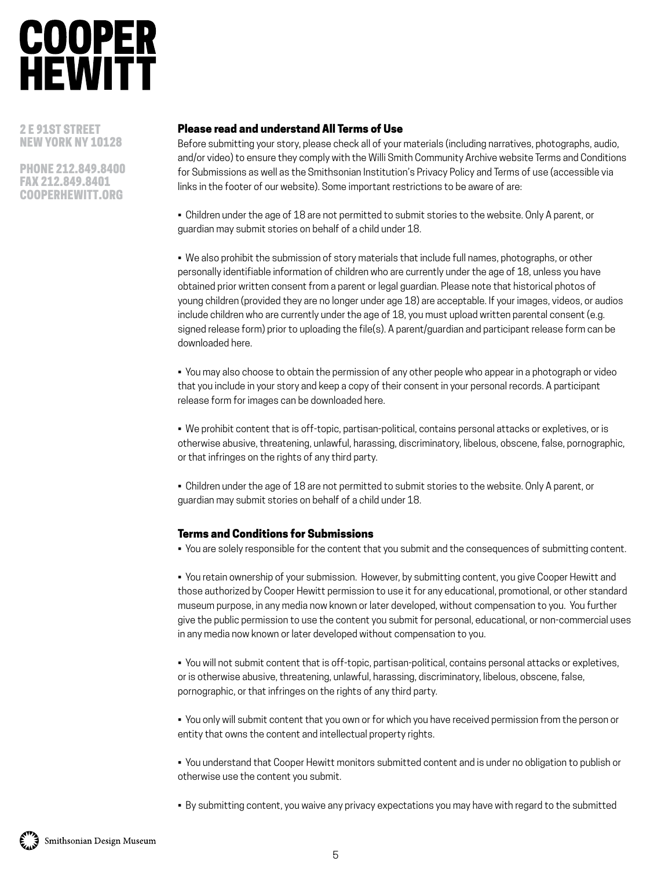2 E 91ST STREET NEW YORK NY 10128

PHONE 212.849.8400 FAX 212.849.8401 COOPERHEWITT.ORG

#### Please read and understand All Terms of Use

Before submitting your story, please check all of your materials (including narratives, photographs, audio, and/or video) to ensure they comply with the Willi Smith Community Archive website Terms and Conditions for Submissions as well as the Smithsonian Institution's Privacy Policy and Terms of use (accessible via links in the footer of our website). Some important restrictions to be aware of are:

• Children under the age of 18 are not permitted to submit stories to the website. Only A parent, or guardian may submit stories on behalf of a child under 18.

• We also prohibit the submission of story materials that include full names, photographs, or other personally identifiable information of children who are currently under the age of 18, unless you have obtained prior written consent from a parent or legal guardian. Please note that historical photos of young children (provided they are no longer under age 18) are acceptable. If your images, videos, or audios include children who are currently under the age of 18, you must upload written parental consent (e.g. signed release form) prior to uploading the file(s). A parent/guardian and participant release form can be downloaded here.

• You may also choose to obtain the permission of any other people who appear in a photograph or video that you include in your story and keep a copy of their consent in your personal records. A participant release form for images can be downloaded here.

• We prohibit content that is off-topic, partisan-political, contains personal attacks or expletives, or is otherwise abusive, threatening, unlawful, harassing, discriminatory, libelous, obscene, false, pornographic, or that infringes on the rights of any third party.

• Children under the age of 18 are not permitted to submit stories to the website. Only A parent, or guardian may submit stories on behalf of a child under 18.

#### Terms and Conditions for Submissions

• You are solely responsible for the content that you submit and the consequences of submitting content.

• You retain ownership of your submission. However, by submitting content, you give Cooper Hewitt and those authorized by Cooper Hewitt permission to use it for any educational, promotional, or other standard museum purpose, in any media now known or later developed, without compensation to you. You further give the public permission to use the content you submit for personal, educational, or non-commercial uses in any media now known or later developed without compensation to you.

• You will not submit content that is off-topic, partisan-political, contains personal attacks or expletives, or is otherwise abusive, threatening, unlawful, harassing, discriminatory, libelous, obscene, false, pornographic, or that infringes on the rights of any third party.

• You only will submit content that you own or for which you have received permission from the person or entity that owns the content and intellectual property rights.

• You understand that Cooper Hewitt monitors submitted content and is under no obligation to publish or otherwise use the content you submit.

• By submitting content, you waive any privacy expectations you may have with regard to the submitted